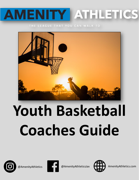# **MENITY ATHLETIC**  $\boldsymbol{\Delta}$

# THE LEAGUE THAT YOU CAN WALK TO



# **Youth Basketball Coaches Guide**







@AmenityAthletics **COM** @AmenityAthleticsJax **AmenityAthletics.com**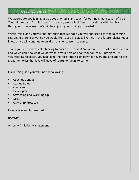We appreciate you joining us as a coach or assistant coach for our inaugural season of 3 V 3 Youth Basketball. As this is our first season, please feel free to provide us with feedback throughout the season. We will be adjusting accordingly if needed.

Within this guide you will find materials that we hope you will find useful for the upcoming season. If there is anything you would like to see in guides like this in the future, please let us know as we will continue to build on this for seasons to come.

Thank you so much for volunteering to coach this season! You are a HUGE part of our success and we couldn't do what we do without your help and contribution to our program. By volunteering to coach, you help keep the registration cost down for everyone and add to the great memories that kids will have of sports for years to come!

Inside this guide you will find the following:

- Coaches Conduct
- League Rules
- **Overview**
- Development
- Stretching and Warming Up
- Drills
- COVID-19 Protocols

Have a safe and fun season!

Regards:

Amenity Athletics Management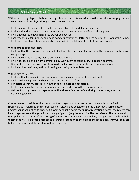With regard to my players: I believe that my role as a coach is to contribute to the overall success, physical, and athletic growth of the player through participation in soccer.

- I will endeavor to be a good instructor and a positive role model for my players.
- I believe that the score of a game comes second to the safety and welfare of all my players.
- I will endeavor to put winning in its proper perspective.
- I am responsible for understanding and competing within the letter and the spirit of the Laws of the Game.
- I will teach my players to understand and play within the letter and spirit of the Laws, as well.

With regard to opposing teams:

- I believe that the way my team conducts itself can also have an influence, for better or worse, on those we compete against.
- I will endeavor to make my team a positive role model.
- I will not coach, nor allow my players to play, with intent to cause injury to opposing players.
- Neither I nor my players and spectators will display hostile behavior towards opposing players.
- I will emphasize winning without boasting and losing without bitterness.

With regard to Referees:

- I believe that Referees, just as coaches and players, are attempting to do their best.
- I will instill in my players and spectators a respect for that fact.
- I understand that my attitude can influence my players and spectators.
- I will display a controlled and undemonstrative attitude toward Referees at all times.
- Neither I nor my players and spectators will address a Referee before, during or after the game in a demeaning fashion.

Coaches are responsible for the conduct of their players and the spectators on their side of the field, specifically as it relates to the referee, coaches, players and spectators on the other team. Verbal and/or physical abuse will not be tolerated. If players conduct is not in the spirit of recreational soccer the referee can have the player leave the game for a cooling off period (length-determined by the referee). The same conduct rule applies to spectators. If the cooling off period does not resolve the problem, the spectator may be asked to leave the field. If a coach approaches a referee or steps on to the field to challenge a call, they will be asked to leave the game and the incident will be reviewed.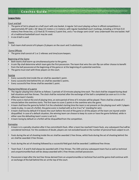#### **League Rules**

#### Court and ball

- The game of 3x3 is played on a half court with one basket. A regular 3x3 court playing surface in official competitions is approximately 49' wide x 36' deep (15 meters x 11 meters), with regular basketball court markings, including a 19-foot (5.8 meters) free throw line, a 22-foot (6.75 meters) 2-point line, and a "no-charge semi-circle" area underneath the one basket. Half of a traditional basketball court may be used.
- A size 6 ball is used

#### Teams

• Each team shall consist of 6 players (3 players on the court and 3 substitutes).

#### Game Officials

The game shall consist of 1 or 2 referees and time/score keepers.

#### Beginning of the Game

- Both teams shall warm-up simultaneously prior to the game.
- A coin flip shall determine which team gets the first possession. The team that wins the coin flip can either choose to benefit from the ball possession at the beginning of the game or at the beginning of a potential overtime.
- The game must start with three players on the court.

#### Scoring

- Every successful shot inside the arc shall be awarded 1 point.
- Every successful shot behind the arc shall be awarded 2 points.
- Every successful free throw shall be awarded 1 point.

#### Playing time/Winner of a game

- The regular playing time shall be as follows: 2 periods of 10 minutes playing time each. The clock shall be stopped during dead ball situations and free throws. The clock shall be restarted after the exchange of the ball is completed (as soon as it is in the offensive team's hands).
- If the score is tied at the end of playing time, an extra period of time of 5 minutes will be played. There shall be a break of 1 minute before the overtime starts. The first team to score 2 points in the overtime wins the game.
- A team shall lose the game by forfeit if at the scheduled starting time the team is not present on the playing court with 3 players ready to play. In case of a forfeit, the game score is marked with w-0 or 0-w ("w" standing for win).
- A team shall lose by default if it leaves the court before the end of the game or all the players of the team are injured and/ $\sigma$ disqualified. In case of a default situation, the winning team can choose to keep its score or have the game forfeited, while in either case the defaulting team's score is set to 0.
- A team losing by default or a forfeit will be disqualified from the competition.

#### Gameplay

- A team is in a penalty situation after it has committed 6 fouls. After a team has reached 9 team fouls, any subsequent foul wil be considered technical. For the avoidance of doubt, players are not excluded based on the number of personal fouls subject to art.
- Fouls during the act of shooting inside the arc shall be awarded 1 free throw, whilst fouls during the act of shooting behind the arc shall be awarded 2 free throws.
- Fouls during the act of shooting followed by a successful field goal shall be awarded 1 additional free throw.
- Team fouls 7, 8 and 9 shall always be awarded with 2 free throws. The 10th and any subsequent team foul as well as technical and unsportsmanlike fouls will be always awarded with 2 free throws and ball possession.
- Possession is kept after the last free throw derived from an unsportsmanlike or technical foul and the game shall continue with an exchange of the ball behind the arc at the top of the court.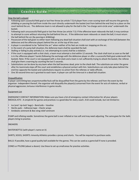#### How the ball is played

- Following each successful field goal or last free throw (ex article 7.5):A player from a non-scoring team will resume the game by dribbling or passing the ball from inside the court directly underneath the basket (not from behind the end line) to a place on the court behind the arc. The defensive team is not allowed to play for the ball in the "no-charge semi-circle area" underneath the basket.
- Following each unsuccessful field goal or last free throw (ex article 7.5): If the offensive team rebounds the ball, it may continue to attempt to score without returning the ball behind the arc. If the defensive team rebounds or steals the ball, it must return the ball behind the arc (by passing or dribbling).
- Possession of the ball given to either team following any dead ball situation shall start with an exchange of the ball (between the defensive and the offensive player) behind the arc at the top of the court.
- A player is considered to be "behind the arc" when neither of his feet are inside nor stepping on the arc.
- In the event of a jump ball situation, the defensive team shall be awarded the ball.
- Stalling or failing to play actively (i.e. not attempting to score) shall be a violation.
- If the court is equipped with a shot clock, a team must attempt a shot within 12 seconds. The clock shall start as soon as the ball is in the offensive players' hands (following the exchange with the defensive player or after a successful field goal underneath the basket). Note: If the court is not equipped with a shot clock and a team is not sufficiently trying to attack the basket, the referee shall give them a warning by counting the last 5 seconds.
- Substitutions can be done by any team when the ball becomes dead, prior to the check-ball. The substitute can enter the game after his teammate steps off the court and establishes a physical contact with him. Substitutions can only take place behind the end line opposite the basket and substitutions require no action from the referees or table officials.
- One 30-second time-out is granted to each team. A player can call the time-out in a dead ball situation.

#### Disqualification

A player committing two unsportsmanlike fouls will be disqualified from the game by the referees and from the event by the organizer. Independent thereof, the organizer will disqualify the player(s) concerned from the event for acts of violence, verbal or physical aggression, tortuous interference in game results.

#### Equipment List

EMERGENCY CONTACT INFORMATION: Make sure you have a list of emergency contact information for all your players MEDICAL KITS - A simple kit for games and practices is a good idea for every coach. A kit could include, but not limited to:

- Ice (and `zip-lock' bags) Band aids Vaseline
- Sterile pads Adhesive tape Elastic wraps
- Antibiotic ointment & Bee sting relief ointment

PUMP and inflating needle: Sometimes the game ball is over inflated or too soft and may need adjusting. The same goes for the balls players bring to practice.

#### **SNEAKERS**

WATER BOTTLE (with player's name on it)

SHIRTS, SOCKS, SHORTS: Amenity Athletics provides a jersey and shorts. You will be required to purchase socks.

BALLS: If possible, have a good quality ball available for the games. This can be used as a game ball if none is provided.

CONES or PYLONS (about a dozen): Use these to set up small areas for practice activities.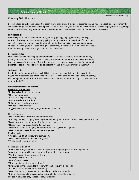#### Coaching 101 - Overview

Basketball can be a challenging sport to teach the young player. This guide is designed to give you some tools and information that will help you organize your season and practices in a way so that your players will be successful. Coaches of players in this age range need to focus on teaching the fundamental movement skills in addition to basic fundamental basketball skills.

#### **Physical skills:**

Developing fundamental movement skills; pushing , pulling, lunging, squatting, bending, twisting ,throwing, catching, jumping, jogging, running; needs to be the primary focus at this age. All of those movements need to be combined to develop; agility, balance, coordination and speed. Making sure that each child gains proficiency in these basic athletic skills will enable them to develop to their full physical potential in later years.

#### **Basketball skills:**

Focus needs to be on developing fundamental basketball skills; stance, footwork, dribbling, passing and shooting. In addition as a coach you also want to help the young player develop a love and passion for the game. Motivation to master the game of basketball is a fundamental skill that all coaches need to focus on developing in their players. Enjoyment is the most

#### **Technical skills:**

In addition to fundamental basketball skills the young player needs to be introduced to the beginnings of technical basketball skills. These skills involve decision making or problem solving. For this age the problems that they must learn to solve are simple: Shoot or pass? Dribble to the right or the left?

#### **Developmental considerations:**

- Psychological/Cognitive
- \*Individually oriented (egocentric)
- \*Short attention span
- \*Easily bruised psychologically
- \*Perform tasks one at a time
- \*Influence of peers is very strong \*Limited tactical abilities
- \*Biggest concern is which way to go when they have ball.

#### Physical/Motor:

\*No sense of pace...will often run until they drop

\*Running, jumping, skipping, hopping and maintaining balance are not fully developed at this age.

\*Large muscle groups are more developed than smaller ones.

\*Needs to develop speed/fast twitch abilities.

- \*Will often fall when changing direction because of high center of gravity.
- \*Need multiple breaks during practice and games.

Psycho– social:

- \*Typically this if first exposure to team sport.
- \*Need to feel secure in practice and games
- `\*Social development is limited

#### Coaching Consideration:

\*Coach needs to guarantee success for all players through proper structure of practices

\*Coach needs to provide appropriate positive reinforcement often.

\*Work on speed when players are fresh

\*Use several short activities

\*Lots of water breaks

\*Short training session (45min– 1hour)

\*Emphasize confidence and familiarity with the ball (every child needs

To have access to a ball for entire session)

\*Give plenty of encouragement and very little criticism or correction.

\*Primary focus is making basketball so enjoyable that when the child has

choices in activities, they choose to play basketball.

Resource – Kidssports.org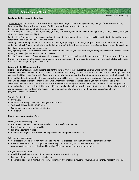#### Resource – Kidssports.org

#### **Fundamental Basketball Skills include:**

Movement: Agility, balance, coordination(throwing and catching), proper running technique, change of speed and direction, jumping and landing, starting and stopping (stride stop and 2 foot drop stop), pivoting Positioning: Ready position, triple threat, play with eyes up.

Ball handling: Ball control, stationary dribbling (low, high, and wide), movement while dribbling (running, sliding, walking, change of direction, starts, stops, low, high).

Passing skills: Stationary passing, moving and passing, passing to a teammate, receiving the ball (absorbing) catching on the move, catching the ball with 2 hands..2 eyes..and 2 feet.

Shooting skills: Squaring the feet and shoulders to the target, pushing with both legs, proper hand and arm placement (hand under/behind ball, fingers spread, elbow under ball/over knee), follow through (release). Learn first without the ball then with the ball. Close range shots, lay-up progression.

Playing Principles: Basic offensive concepts, advancing the ball toward your offensive end, shooting the ball into the basket to score, spacing of players (away from ball towards basket)

Basic Defensive concepts: Recognition of when you are on defense, recognition of the person you are defending, when defending the ball staying between the person you are guarding and the basket, when you are defending away from the ball staying between the person you are guarding and the basket.

#### **Coaching in the FUNdametnal Stage**

It cannot be emphasized enough that the goal for this level is "Not to win, but rather have fun while playing sports and ensuring success." The players need to learn fundamental movement skills through basketball in a fun and positive way. This not just because we want the kids to have fun, which of course we do, but also because learning those fundamental movements will allow each child to reach their fullest potential. If they are having fun they will be more likely to continue participating. This does not mean that each child will be a great dribbler or shoot the ball well. What this does mean is that as a coach you have give challenging, yet achievable goals for your players. If a player starts the season not being able to dribble the ball or make a 2 footed jump-stop and then during the season is able to dribble more effectively and makes a jump-stop in a game, that is success! If the only way a player can be successful on your team is to make a layup or be the best player on the team, then a good percentage of your players will never feel successful.

Sample Practice structure:

- 60 minutes
- Warm-up: including speed work and agility: 5-10 mines
- Technical skills and drills: 35-40 mins
- Scrimmage and simple tactics: 10-15 mins
- Cool down

#### **How to make your practices fun:**

Make your practices fast paced

- Plan ahead. Planning is the number one key to a successful, fun practice.
- Move from drills and games quickly
- Limit time standing in lines
- Planning and organization are key to being able to run your practice effectively.

Set rules and expectations:

- Your practice will be more fun if everyone knows what is expected from them in terms of behavior and effort
- Rules help keep the practice organized and running smoothly. They also help keep the kids safe
- Communicate rules both verbally and in writing. Make sure parents are aware of the rules.

Get your players attention:

- Establish a quick signal or technique to get your players attention quickly.
- Long whistle, verbal cue from coach, clap cue.
- Keep talking and instructions short! You will lose them if you talk or instruct too much. Remember they will learn by doing!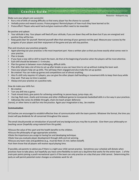Resource – Kidssports.org

Make sure your players are successful:

- Run a mix of drills of varying difficulty so that every player has the chance to succeed.
- Verbally praise and reward success. Praise progress! Remind players of how much they have learned so far.
- Praise effort! Players who work hard and give maximum effort need to be rewarded.

#### Be positive and upbeat:

- Your attitude is key. Your players will feed off your attitude, if you are down they will be down but if you are energized and positive they will be too.
- Keep goals clear for yourself. Remind yourself often that winning all your gamesis not the goal. Measure your success by the progress of your players and their enjoyment of the game and you will stay positive.

Plan and structure your practices properly:

- Again planning out your practices is the most important part. Have a written plan so that you know exactly what comes next in your practice.
- Plan in breaks
- If you have a new skill or drill to teach the team, do that at the beginning of practice when the players will be most attentive.
- Each drill should be between 3 -5 minutes.
- Plan fun games in between more challenging, difficult drills.
- Plan drills that take a lot of time to set up after breaks so you can have time to set up without making the team wait.
- Have your players help set up drills. This will keep them engaged and also make the set up quicker.
- Be creative! You can make up games and competitions out of almost anything.
- Also if a drill only requires 4-5 players, you can give the other players ball handling or movement drills to keep them busy while they wait. That way no time is wasted.
- Always end your practice on a positive note.

How do make your drills fun:

- Be creative
- Turn any drill into a game:
- Track missed shots, give points for achieving something: ie passes layup, jump-stops, etc.
- Use tag, Red-rover, sharks and minnows and other childhood games to incorporate basketball skills in a fun way in your practices.
- Add props like cones (to dribble through), chairs (to teach proper defensive

stance), or other items to add fun into the practice. Again your imagination is key…be creative

#### **Communication**

All Coaches are encouraged to establish effective lines of communication with the team parents. Whatever the format, the time you invest will pay dividends for all concerned throughout the season.

The email should provide an introduction of yourself and any background you may like to provide. Give them your philosophy on teaching soccer (hopefully using material from this guide).

•Discuss the value of the sport and the health benefits to the children.

•Discuss the philosophy of age-appropriate activities.

•State the importance you assign to having fun and developing technique.

•State how you evaluate player development through skills and not winning.

•Discuss any team rules and guidelines (e.g., must be there 15 min. before kickoff).

•Let them know that all players will receive equal playing time.

If possible, ask parents to advise you if there is a night your child cannot practice. Sometimes your schedule will dictate when practices have to take place, but hopefully you have some flexibility to work out a day/time that works for the entire team. 1 of the main pain points joining a youth recreational sport is if the team can only practice on a day that your child cannot. Determining this early on will permit potential roster changes so schedules work for all.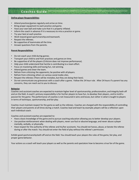#### **Define player Responsibilities**

- Attend practices/games regularly and arrive on time.
- Bring proper equipment to each practice and game.
- Have your own ball and make sure that it is properly inflated.
- Inform the coach in advance if it is necessary to miss a practice or game.
- Try your best at each practice.
- Work toward good sportsmanship and teamwork.
- Respect the referees.
- Be supportive of teammates all the time.
- Answer questions from the parents.

#### **Parent Responsibilities**

- Do not coach your child during games.
- Transport your child to and from practices and games on time.
- Be supportive of all the players (Criticism does not improve performance).
- Help your child understand that he/she is contributing to a team effort.
- Focus on mastering skills and having fun, not winning.
- Attend games and cheer the team.
- Refrain from criticizing the opponents; be positive with all players.
- Refrain from criticizing others on various social media sites.
- Respect the referees (There will be mistakes, but they are doing their best).
- Do not communicate any grievances with a coach after a game. Follow the 24 hour rule. After 24 hours if a parent has any concerns, they can reach out to you to discuss.

#### **Behavior**

Coaches and assistant coaches are expected to maintain higher level of sportsmanship, professionalism, and integrity both off and on the field. A coach's primary responsibility is for his/her players to have fun, to develop their players, and to instill a passion for the game. The performance of coaches is not measured in wins and losses, but rather in what is taught to players in terms of technique, sportsmanship, and fair play.

Coaches must maintain respect for the game as well as the referees. Coaches are charged with the responsibility of controlling their players and parents at all times during a match. Coaches lead and teach by example; players will be a reflection upon each individual coach.

Coaches and assistant coaches are expected to:

- Have a basic knowledge of the game and to pursue coaching education allowing you to better develop your players.
- Use positive reinforcement when dealing with players, never use foul or abusive language, and never abuse a player mentally, verbally, or physically.
- Have respect for the authority of the referee and his/her assistants. You should not harass, abuse, or berate the referee during or after the match. You should not enter the field of play without the referee's permission.

Exhibit good sportsmanship both off and on the field. You should teach your players the rules of the game, fair play, and proper game behavior.

Your actions as a coach will teach your players as well as the parents and spectators how to become a true fan of the game.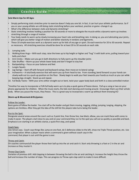#### **Solo Warm Ups for All Ages**

- Simply performing static stretches prior to exercise doesn't help you one bit. In fact, it can hurt your athletic performance. So if you or your young athlete are still doing static stretching before your workout, practice or game--change it up.
- What's the difference between static and dynamic stretching?
- Static stretching involves holding a position for 30 seconds or more to elongate the muscle while a dynamic warm up involves stretching through a range of motion.
- Your body needs to warm up by slowly increasing your heart rate and breathing rate. In doing so, you are lubricating your joints, which will give you better range of motion and better elasticity in tendons and ligaments.
- These 10 simple exercises work as a dynamic warm up for kids of any age or sport. Do each exercise for 20 to 30 seconds. Repeat as necessary. All stretching exercises should be done for at least 20 to 30 seconds on each side.

#### 1. Jumping Jacks

- 2. Walking Knee Hugs With each step, raise the knee up to hip height or higher and "hug" it with both arms, pulling toward your belly and chest
- 3. Arm Circles Make sure you go in both directions to fully warm up the shoulder joints
- 4. Side Shuffles Warm up your whole lower body and don't forget to stay low
- 5. Backpedaling Focus on your balance and feet
- 7. Lunges Squats
- 8. Leg Swings Start off with forward and backward swings, then move on to lateral swings
- 9. Inchworms A total body exercise that will warm you up from head to toe. From standing, bend forward so your hands can slowly walk out to a push up position on the floor. Slowly begin to walk your feet towards your hands as much as you can while keeping legs straight. Stand up and repeat.
- 10. Full Body Twists With your arms either straight out or bent, twist your upper body back and forth in a slow controlled motion

\*Another fun way to incorporate a FUN full body warm up is to play a quick game of freeze dance. Pull up a song or two on your phone appropriate for children. When the music starts, the kids start dancing and moving around. Encourage them use their whole body. When you pause the music, they freeze. This is a great way to incorporate a warm up without them knowing it©

#### **Warm-up & Movement drills/games:**

#### Follow the Leader:

Basic game of follow the leader. You start off as the leader and get them moving. Jogging, sliding, jumping, lunging, skipping, the options are limitless. After they get the idea of the drill let the players take turns being the leader.

#### Run to the Spot:

Designate several areas around the court such as 3 point line, free throw line, low block, elbow, you can mark these with cones to make it easier. The players start close to you and on your command they run to the spot you call out as quickly as possible and back. Emphasis is on starting in an athletic stance, a quick first step, and speed.

#### Coach Says:

Like Simon says. Coach says things like: jump on one foot, do 5 defensive slides to the left, show me Triple Threat position, etc. Use your imagination. When a player reacts when a command is given without coach says in the command, that player is out until the game is over.

#### Throw and Catch:

On coaches command all the player throw their ball up into the air and catch it. Start only throwing is a foot or 2 in the air and increase as they master it.

#### Throw-Clap-Catch:

Variation of previous drill. Add clapping in between throwing the ball in the air and catching it. Increase the height they throw the ball and increase the number of claps. This can progress to Throw-spin-clap-catch to make it more difficult.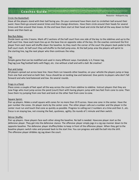#### Circle the Basketball:

Resource – Kidssports.org

Have all the players stand with their ball facing you. On your command have them start to circletheir ball around their waist. Have them go around several times and then change directions. Have them circle around their heads for several times and then around their knees. At the end have them start at their head and circle the ball all the way down to their knees and then back up.

#### Box Run Relay:

Divide team up into 2 teams. Mark off 2 sections of the half court from one side of the key to the sidelines and up to the half court line. Have each team line up on the base line on opposite sides of the key. On the coaches command the first player from each team will shuffle down the baseline. As they reach the corner of the court the players back pedal to the half court mark. At half court they will shuffle to the ball jump area. At the ball jump area the players will sprint to the starting line, tag the next player who then continues the relay.

#### Tag:

Simple game that can be modified and used in many different ways. Everybody is it, Freeze tag, flag tag (use flag football belts with flags), etc. Use without a ball and with a ball. Be creative!

#### Run and Jump:

All players spread out across base line. Have them run towards other baseline, on your whistle the players jump or leap from one foot and land on both feet. Focus should be on landing low and balanced. Give points to players who don't fall forward and who land balanced and low. Do several rounds.

#### Frogs in a Pond:

Place cones a couple of feet apart all the way across the court from sideline to sideline. Instruct players that they are now frogs who must jump across the pond (court) Start with having players jump with two feet from cone to cone. Then have them try jumping from one foot and land on the other foot from cone to cone.

#### Square Sprint:

Pair up players. Make a small square with cones for no more than 10 ft across. Have one cone in the center. Have the pair number the cones. On player starts by the center cone. The other player calls out a number and the player in the center must run and touch that cone as quickly as possible. Progress to calling out 2 numbers at a time and then 3...etc. Focus is on staying low, not crossing the feet, quickness, agility. Do rounds of 1 minute and then switch.

#### Mirror Shuffle:

Pair up players. Have players face each other along the baseline. No ball is needed. Have one player start as the defensive player. They get into the defensive stance. The offensive player simply jogs in a zig zap manner down to the opposite baseline. The defensive player shuffles/slides to keep in front of the offensive player. When they get to the baseline players switch roles and proceed back to the start line. You can progress and add the ball into the drill. The offensive player dribbles zig zag down the court.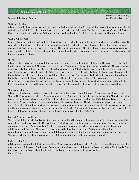#### **Technical Drills and Games:**

#### Stationary Dribble:

All players on the baseline with a ball. Have players start in ready position (feet apart, toes pointed forward, knees bent) and with ball in Triple Threat position. Have them dribble with the right hand. Vary between low/high/hard/ soft/ wide. Have them dribble with left hand. Add more options as they develop. Front Crossover in front, pull back and forward.

#### Staring Dribble Drill:

Pair up players according to skill and size. Have players face each other and hold the ball in whatever hand they wish. On your whistle the players must begin dribbling and staring into each other's eyes. If a player blinks, looks away or looks down at their ball the other player earns a point. They begin a new game. The first player to 5 points wins. You can use many variations of this drill; use their weak hand only, allow them to move around, switch up partners; add a second ball for more advanced players.

#### SPLAT:

All players have a ball and stand with the coach in the center circle in the middle of the gym. The coach has a soft ball (nerf or other soft skin ball). The coach calls out a plaLJed's name and throws the soft ball into the air. The player whose name was called puts down their basketball and runs to get the soft ball. All other players dribble as fast as they can away from the player with the soft ball. When the player catches the ball and yells stop, all players must stop and put the ball down besides them. The player with the soft ball can take 3 steps towards the closest player and try to throw the ball at them. If the target is hit they have to give their ball to the player who got them out and return to the center circle. If the target catches the soft ball or the player throwing the ball misses, the original person stays in the middle. Everyone returns to the middle and the ball is thrown into the air again....the coach calls a new name each time.

#### Sharks and Minnows:

All players stand on one end of the gym with a ball. All of these players are Minnows. Pick a couple of players to be Sharks. The Sharks have a ball too. On your command the Minnows try to dribble their ball across the SEA without being tagged by the Sharks, who also must dribble their ball while trying to tag the Minnows. If the Minnow is tagged they become an Octopus and must freeze and put their ball between their feet. The Octopus can tag players but cannot move. Repeat until you have a winner or everyone is eaten. You can make this game more difficult by having the players use their non dominate hand or increasing the number of Sharks. You can make it easier by allowing them to use both hands to dribble or decreasing the number of Sharks or increasing the size of the SEA.

#### Musical Cones or Hula Hoops:

This is a fun dribbling drill that is a twist on musical chairs. Hula Hoops make the game really fun but you can substitute cones if you don't have access to 10 Hula Hoops. Each player gets a hula hoop or a cone and a ball. The players spread out around the court. On your whistle (or if you have music in your gym...when the music starts) the players start dribbling around the court. The coach removes one to the hula hoops or cones. On the next whistle (or when the music stops) the players must speed dribble and get one foot inside the hula hoop, or one foot on the cone. The player without a hula hoop or cone is out of the game. Continue until only one player remains.

#### Righty – Lefty Drill

All the players can do this drill at the same time (if you have enough basketballs). For this drill, have the entire team line up at one end of the court. On the coach's command the players are to dribble to half court with their Right Hands. Once the players pass half court they should switch hands and dribble the rest of the way with their Left Hand.

Resources – Kidssports.org, CoachYouthBasketball.com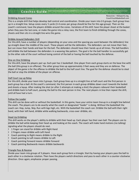#### Dribbling Around Cones

#### Resources – Kidssports.org, CoachYouthBasketball.com

This is a simple drill that helps develop ball control and coordination. Divide your team into 2-3 groups. Each group lines up in a straight line. Setup cones every 5 yards (3-4 cones per group should be fine for this age group). Then on the coach's command, have the players dribble around the cones. Variations of this drill: have the player shoot at the basket when they pass the last cone, or make the game into a relay race, the first team to finish dribbling through the cones, shoots and then sits in a straight line wins the game.

#### Dribble Around Defenders Drill

For this drill, have a number of players (depending on your area and the spacing you want between the defenders) line up straight down the middle of the court. These players will be the defenders. The defenders can not move their feet, but can move their hands and lean for the ball. The defenders should have their hands up at all times. The ball handlers will dribble the ball between the defenders in a weaving like pattern. The goal is for the ball handler to successfully get to the other side of the court without losing control of the ball or having the ball touched by the defense.

#### One on One Dribbling

For this drill, have the players pair up. Each pair has 1 basketball. One player from each group starts on the base line with the ball (this group is on offense). The other group lines up approximately 3 feet away and they are on defense. The object of the game is for the offense to dribble the ball to the half court line. The goal for the defense should be to steal the ball or stop the dribble of the player on offense.

#### Half Court Lay up Relay

For this drill, divide your team into 2 groups. Each group lines up in a straight line at half court and the first person in each group has a ball. At the coach's command, the first person in each group dribbles down court towards the basket and shoots a layup. After making the shot (or after 2 attempts at making a shot) the players rebound their basketball and dribble back to half court, passing the ball to the next person in line. The next players in line then repeat the drill, until all have had a turn.

#### Follow the Leader

This drill can be done with or without the basketball. In this game, have your entire team line-up in a straight line behind the coach. The players are to do exactly what the coach or designated "leader" is doing. Without the basketball the coach can: Hop, Jump, Skip, Run with legs high, etc. With the basketball the coach can: Dribble the ball with their right hand, with their left hand, dribble while walking backwards, cross-over dribble, etc.

#### Head Up Dribbling

This drill works on the player's ability to dribble with their head up. Each player has their own ball. The players are to dribble the ball while keeping their head up and looking at the coach. The coach will make hand motions (no talking) signaling what the players should do next.

- 1 Finger can stand for dribble with Right Hand
- 2 Fingers mean dribble with Left Hand
- Coach pointing to Right means dribble to the Right
- Coach pointing to Left means dribble to Left
- Coach pointing Forward means dribble Forward
- Coach pointing Backwards means dribble backwards

#### Triangle Pass & Receive

Divide your team into groups of 3 players. Have each group form a triangle. Start by having your players pass the ball to each other in a clockwise rotation. Then have the players switch directions and pass to each other in a counter-clockwise direction. Once again, emphasize proper passing.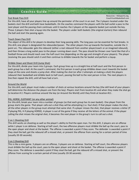#### Fast Break Pass Drill

Resources – Kidssports.org, CoachYouthBasketball.com

For this drill, have all your players line up around the perimeter of the court in an oval. The 2 players located under the baskets start the drill and both have basketballs. On the coaches command the players with the ball outlet a pass to the next player and the passing chain continues until it reaches the 2 players at the opposite basket just outside the key. Those 2 players then shot a layup into the basket. The players under both baskets (the original starters) then rebound the ball and start the passing again.

#### Touch Down Pass Drill

The object of this drill is for players to develop their long passing skills. The long pass can be essential for fast breaks. In this drill, one player is designated the rebounder/passer. The other players line up towards the baseline, outside the 3 point arc. The rebounder gets the rebound (either a real rebound from another player/coach or an imagined rebound), and then throws a long outlet pass to the player running down court. The pass should be thrown over hand like that of a football throw and should reach over the half court line (depending on the age and strength of your players). The player receiving the pass should catch it and then continue to dribble towards the far basket and perform a layup.

#### Dribble Down and Shoot Drill (Jump Shot)

For this drill, divide your team into 2 groups. Each group lines up in a straight line at half court and the first person in each group has a ball. At the coach's command, the first person in each group dribbles down court towards the basket stops at the cone and shoots a jump shot. After making the shot (or after 2 attempts at making a shot) the players rebound their basketball and dribble back to half court, passing the ball to the next person in line. The next players in line then repeat the drill, until all have had a turn.

#### Around the World

For this drill, each player must make a number of shots at various locations around the key (the skill level of your players will determine the distance the players are from the key). Players start from location #1 and when they make the shot go to location # 2. Players continue around the key (or Around the World) until they finish at location #11.

#### PIG, HORSE, ELEPHANT (or any other animal)

For this drill, break your team into a number of groups (so that each group has its own basket). One player from the group starts the game. That player calls out a shot they will be attempting (i.e. foul shot). If that player makes the shot, all the other players in the group must attempt that same shot. If a player misses the shot, that player receives a letter (P if playing PIG, H if playing HORSE). A player is out of the game if they receive all the letters of the animal. If the player calling the shot misses the original shot, it becomes the next player in the group's turn to call out a shot.

#### 2 on 1 Shooting Drill

This drill works on shooting as well as the player's ability to find the open man. For this drill, 2 players are on offense while 1 player is on defense. Starting at half court, the two offensive players must dribble the ball up the court, pass to the open player and shoot at the basket. The offense is awarded a point if they score. The defender is awarded a point if they steal the ball, get the rebound off a missed shot, or prevent the offense from scoring for a certain period of time (usually 20-30 seconds).

#### 3 on 3 Shooting Drill

This is like a mini game. 3 players are on offense, 3 players are on defense. Starting at half court, the offensive players must dribble the ball up the court, pass to the open player and shoot at the basket. The offense is awarded a point if they score. The defense is awarded a point if they steal the ball, get the rebound off a missed shot, or prevent the offense from scoring for a certain period of time (usually 20-30 seconds).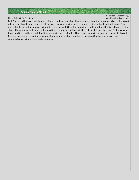#### Head Fake & Go (or Shoot)

Drill For this drill, players will be practicing a good head and shoulders fake and then either shoot or drive to the basket. A head and shoulders fake consists of the player rapidly moving up as if they are going to shoot (but not jump). This move should cause the defense to jump to block the shot. Once the defender is in the air, the offensive player can either shoot (the defender in the air is out of position to block the shot) or dribble past the defender to score. First have your team practice good head and shoulders fakes without a defender. Have them line up in the low post facing the basket. Execute the fake and then the corresponding next move (shoot or drive to the basket). After your players are comfortable with the moves, add a defender.

Resources – Kidssports.org, CoachYouthBasketball.com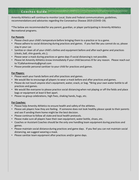Amenity Athletics will continue to monitor Local, State and Federal communications, guidelines, recommendations and advisories regarding the Coronavirus Disease 2019 (COVID-19).

\*The below are recommended for any parent, guardian, or player participating in Amenity Athletics Recreational programs.

#### **For Parents**

- Please check your child's temperature before bringing them to a practice or to a game.
- Please adhere to social distancing during practices and games. If you feel like you cannot do so, please stay in your car.
- Sanitize or clean all of your child's clothes and equipment before and after each game and practices (cleats, ball, shin guards, etc.);
- Please wear a mask during practices or game days if social distancing is not possible.
- Please let Amenity Athletics know immediately if your child becomes ill for any reason. Please reach out to TCallahanAmenity@gmail.com
- Please provide personal sanitizer to your child for practices and games.

#### **For Players:**

- Please wash your hands before and after practices and games.
- We would like to encourage all players to wear a mask before and after practices and games.
- Please do not touch anyone else's equipment, water, snack, or bag. \*Bring your own water bottle to all practices and games.
- We would like everyone to please practice social distancing when not playing or off the fields and place bags or equipment at least 6 feet apart.
- Please no group celebrations, high fives, shaking hands, hugs, etc.

#### **For Coaches:**

- Please help Amenity Athletics to ensure health and safety of the athletes.
- Please ask players how they are feeling. If someone does not look healthy please speak to their parents and see if sending them home might be the best decision.
- Please continue to follow all state and local health protocols.
- Please make sure all players have their own equipment, water bottle, shoes, etc.
- Coaches or Assistant Coaches should be the only one handling team equipment during practices and games.
- Please maintain social distance during practices and game days. If you feel you can not maintain social distancing, we suggest wearing a mask.
- Please sanitize team equipment after practices and/or game days.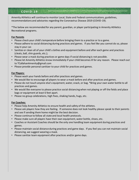# **C O V I D- 1 9**

Amenity Athletics will continue to monitor Local, State and Federal communications, guidelines, recommendations and advisories regarding the Coronavirus Disease 2019 (COVID-19).

\*The below are recommended for any parent, guardian, or player participating in Amenity Athletics Recreational programs.

## **For Parents**

- Please check your child's temperature before bringing them to a practice or to a game.
- Please adhere to social distancing during practices and games. If you feel like you cannot do so, please stay in your car.
- Sanitize or clean all of your child's clothes and equipment before and after each game and practices (cleats, ball, shin guards, etc.);
- Please wear a mask during practices or game days if social distancing is not possible.
- Please let Amenity Athletics know immediately if your child becomes ill for any reason. Please reach out to TCallahanAmenity@gmail.com
- Please provide personal sanitizer to your child for practices and games.

## **For Players:**

- Please wash your hands before and after practices and games.
- We would like to encourage all players to wear a mask before and after practices and games.
- Please do not touch anyone else's equipment, water, snack, or bag. \*Bring your own water bottle to all practices and games.
- We would like everyone to please practice social distancing when not playing or off the fields and place bags or equipment at least 6 feet apart.
- Please no group celebrations, high fives, shaking hands, hugs, etc.

# **For Coaches:**

- Please help Amenity Athletics to ensure health and safety of the athletes.
- Please ask players how they are feeling. If someone does not look healthy please speak to their parents and see if sending them home might be the best decision.
- Please continue to follow all state and local health protocols.
- Please make sure all players have their own equipment, water bottle, shoes, etc.
- Coaches or Assistant Coaches should be the only one handling team equipment during practices and games.
- Please maintain social distance during practices and game days. If you feel you can not maintain social distancing, we suggest wearing a mask.
- Please sanitize team equipment after practices and/or game days.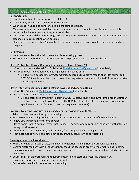#### **For Spectators:**

- Limit the number of spectators for your child to 2.
- Upon arrival, watch games only from the sidelines.
- Wear a mask if unable to adhere to social distancing guidelines.
- Maintain social distancing guidelines while spectating games, staying 6ft away from other spectators.
- Leave the field area as soon as the game concludes.
- We also recommend that parents or guardians bring their own seating when spectating games and avoid bleachers or public seating when possible.
- Please arrive no sooner than 15 minutes before game time and please do not remain on the field after the game.

## **For Referees:**

- Wear a mask while at the fields, except while refereeing games.
- Ensure that no more than 2 coaches/managers are present in each team's bench area.

#### **Player Protocols Following Confirmed or Suspected Case of Covid-19**

- Inform your coach and email Tim Callahan at TCallahanAmenity@gmail.com immediately.
- Person cannot attend Amenity Athletics games or practices until:
	- 14 days have passed since symptoms first appeared OR Negative results of an FDA authorized COVID-19 test from at least two consecutive respiratory specimens collected 24 hours apart (two negative specimens).

#### **Player / staff with confirmed COVID-19 who have not had any symptoms:**

- Inform Tim Callahan at TCallahanAmenity@gmail.com immediately
- Person cannot attend games or practices until:
	- 14 days after date of their first positive COVID-19 test, assuming no symptoms since that time OR negative results of an FDA authorized COVID-19 test from at least two consecutive respiratory specimens collected 24 hours apart (two negative specimens).

#### **Protocols Following Exposure to a Suspected or Diagnosed Case of COVID-19**

- Take your temperature if symptoms develop.
- Practice social distancing. Maintain 6ft of distance from others and stay out of crowded places.
- Follow CDC guidance if symptoms develop.
- Stay at home until 14 days after your last exposure; monitor for any symptoms consistent with infection during this timeframe.
- Check temperature twice a day and stay away from people who are at higher-risk.
- If asymptomatic after 14 days since last exposure, they can return to participation.

#### **Amenity Athletics will continue to:**

- Keep up to date with Local, State, and Federal Regulations and distribute protocols accordingly.
- Communicate regularly with all coaches throughout the season in order to implement plans to notify teams of any situations where someone may have been exposed to someone who has tested positive for COVID-19.
- Educate all staff on protocols and requirements, including state and local regulations, CDC recommendations, and other necessary information.
- Ensure adequate field space for social distancing.